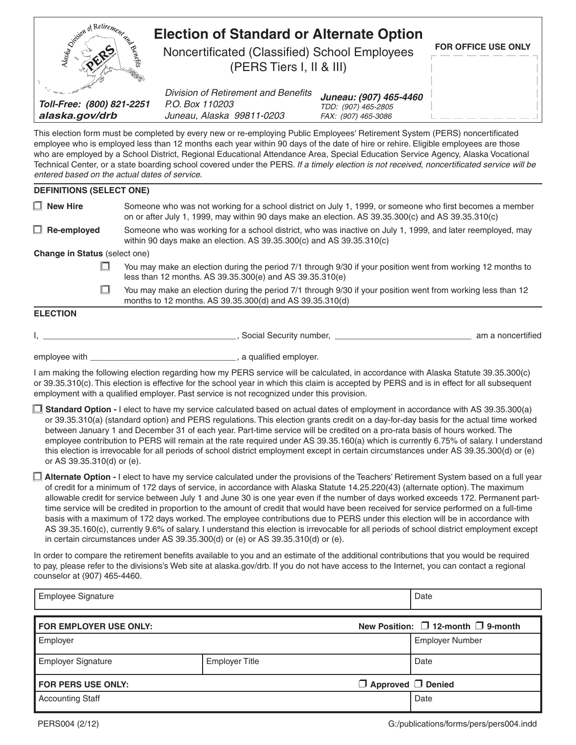| Deposition of Retirement and                                                                                                                                                                                                                                                                                                                                                                                                                                                                                                                                                                                                                                                                                                                                                                                                                                                                                                       |                                                                                                                                                                                                                                                                                                                                                                                  | <b>Election of Standard or Alternate Option</b>                                     |                                                                      |                                                                                                                                |  |
|------------------------------------------------------------------------------------------------------------------------------------------------------------------------------------------------------------------------------------------------------------------------------------------------------------------------------------------------------------------------------------------------------------------------------------------------------------------------------------------------------------------------------------------------------------------------------------------------------------------------------------------------------------------------------------------------------------------------------------------------------------------------------------------------------------------------------------------------------------------------------------------------------------------------------------|----------------------------------------------------------------------------------------------------------------------------------------------------------------------------------------------------------------------------------------------------------------------------------------------------------------------------------------------------------------------------------|-------------------------------------------------------------------------------------|----------------------------------------------------------------------|--------------------------------------------------------------------------------------------------------------------------------|--|
|                                                                                                                                                                                                                                                                                                                                                                                                                                                                                                                                                                                                                                                                                                                                                                                                                                                                                                                                    |                                                                                                                                                                                                                                                                                                                                                                                  | Noncertificated (Classified) School Employees<br>(PERS Tiers I, II & III)           |                                                                      | FOR OFFICE USE ONLY                                                                                                            |  |
| Toll-Free: (800) 821-2251<br>alaska.gov/drb                                                                                                                                                                                                                                                                                                                                                                                                                                                                                                                                                                                                                                                                                                                                                                                                                                                                                        |                                                                                                                                                                                                                                                                                                                                                                                  | Division of Retirement and Benefits<br>P.O. Box 110203<br>Juneau, Alaska 99811-0203 | Juneau: (907) 465-4460<br>TDD: (907) 465-2805<br>FAX: (907) 465-3086 |                                                                                                                                |  |
| This election form must be completed by every new or re-employing Public Employees' Retirement System (PERS) noncertificated<br>employee who is employed less than 12 months each year within 90 days of the date of hire or rehire. Eligible employees are those<br>who are employed by a School District, Regional Educational Attendance Area, Special Education Service Agency, Alaska Vocational<br>Technical Center, or a state boarding school covered under the PERS. If a timely election is not received, noncertificated service will be<br>entered based on the actual dates of service.                                                                                                                                                                                                                                                                                                                               |                                                                                                                                                                                                                                                                                                                                                                                  |                                                                                     |                                                                      |                                                                                                                                |  |
| <b>DEFINITIONS (SELECT ONE)</b>                                                                                                                                                                                                                                                                                                                                                                                                                                                                                                                                                                                                                                                                                                                                                                                                                                                                                                    |                                                                                                                                                                                                                                                                                                                                                                                  |                                                                                     |                                                                      |                                                                                                                                |  |
| $\Box$ New Hire                                                                                                                                                                                                                                                                                                                                                                                                                                                                                                                                                                                                                                                                                                                                                                                                                                                                                                                    | Someone who was not working for a school district on July 1, 1999, or someone who first becomes a member<br>on or after July 1, 1999, may within 90 days make an election. AS 39.35.300(c) and AS 39.35.310(c)                                                                                                                                                                   |                                                                                     |                                                                      |                                                                                                                                |  |
| $\Box$ Re-employed                                                                                                                                                                                                                                                                                                                                                                                                                                                                                                                                                                                                                                                                                                                                                                                                                                                                                                                 |                                                                                                                                                                                                                                                                                                                                                                                  | within 90 days make an election. AS 39.35.300(c) and AS 39.35.310(c)                |                                                                      | Someone who was working for a school district, who was inactive on July 1, 1999, and later reemployed, may                     |  |
| <b>Change in Status (select one)</b>                                                                                                                                                                                                                                                                                                                                                                                                                                                                                                                                                                                                                                                                                                                                                                                                                                                                                               |                                                                                                                                                                                                                                                                                                                                                                                  |                                                                                     |                                                                      |                                                                                                                                |  |
|                                                                                                                                                                                                                                                                                                                                                                                                                                                                                                                                                                                                                                                                                                                                                                                                                                                                                                                                    | You may make an election during the period 7/1 through 9/30 if your position went from working 12 months to<br>less than 12 months. AS 39.35.300(e) and AS 39.35.310(e)                                                                                                                                                                                                          |                                                                                     |                                                                      |                                                                                                                                |  |
| H                                                                                                                                                                                                                                                                                                                                                                                                                                                                                                                                                                                                                                                                                                                                                                                                                                                                                                                                  | You may make an election during the period 7/1 through 9/30 if your position went from working less than 12<br>months to 12 months. AS 39.35.300(d) and AS 39.35.310(d)                                                                                                                                                                                                          |                                                                                     |                                                                      |                                                                                                                                |  |
| <b>ELECTION</b>                                                                                                                                                                                                                                                                                                                                                                                                                                                                                                                                                                                                                                                                                                                                                                                                                                                                                                                    |                                                                                                                                                                                                                                                                                                                                                                                  |                                                                                     |                                                                      |                                                                                                                                |  |
|                                                                                                                                                                                                                                                                                                                                                                                                                                                                                                                                                                                                                                                                                                                                                                                                                                                                                                                                    |                                                                                                                                                                                                                                                                                                                                                                                  |                                                                                     |                                                                      | <b>Notational Community School</b> , Social Security number, <b>No. 2016</b> 2020 2021 2021 2031 2040 2040 2040 2040 2040 2040 |  |
|                                                                                                                                                                                                                                                                                                                                                                                                                                                                                                                                                                                                                                                                                                                                                                                                                                                                                                                                    |                                                                                                                                                                                                                                                                                                                                                                                  |                                                                                     |                                                                      |                                                                                                                                |  |
|                                                                                                                                                                                                                                                                                                                                                                                                                                                                                                                                                                                                                                                                                                                                                                                                                                                                                                                                    | I am making the following election regarding how my PERS service will be calculated, in accordance with Alaska Statute 39.35.300(c)<br>or 39.35.310(c). This election is effective for the school year in which this claim is accepted by PERS and is in effect for all subsequent<br>employment with a qualified employer. Past service is not recognized under this provision. |                                                                                     |                                                                      |                                                                                                                                |  |
| <b>Standard Option</b> - I elect to have my service calculated based on actual dates of employment in accordance with AS 39.35.300(a)<br>or 39.35.310(a) (standard option) and PERS regulations. This election grants credit on a day-for-day basis for the actual time worked<br>between January 1 and December 31 of each year. Part-time service will be credited on a pro-rata basis of hours worked. The<br>employee contribution to PERS will remain at the rate required under AS 39.35.160(a) which is currently 6.75% of salary. I understand<br>this election is irrevocable for all periods of school district employment except in certain circumstances under AS 39.35.300(d) or (e)<br>or AS 39.35.310(d) or (e).                                                                                                                                                                                                    |                                                                                                                                                                                                                                                                                                                                                                                  |                                                                                     |                                                                      |                                                                                                                                |  |
| <b>Alternate Option - I</b> elect to have my service calculated under the provisions of the Teachers' Retirement System based on a full year<br>of credit for a minimum of 172 days of service, in accordance with Alaska Statute 14.25.220(43) (alternate option). The maximum<br>allowable credit for service between July 1 and June 30 is one year even if the number of days worked exceeds 172. Permanent part-<br>time service will be credited in proportion to the amount of credit that would have been received for service performed on a full-time<br>basis with a maximum of 172 days worked. The employee contributions due to PERS under this election will be in accordance with<br>AS 39.35.160(c), currently 9.6% of salary. I understand this election is irrevocable for all periods of school district employment except<br>in certain circumstances under AS 39.35.300(d) or (e) or AS 39.35.310(d) or (e). |                                                                                                                                                                                                                                                                                                                                                                                  |                                                                                     |                                                                      |                                                                                                                                |  |
| In order to compare the retirement benefits available to you and an estimate of the additional contributions that you would be required<br>to pay, please refer to the divisions's Web site at alaska.gov/drb. If you do not have access to the Internet, you can contact a regional<br>counselor at (907) 465-4460.                                                                                                                                                                                                                                                                                                                                                                                                                                                                                                                                                                                                               |                                                                                                                                                                                                                                                                                                                                                                                  |                                                                                     |                                                                      |                                                                                                                                |  |
| <b>Employee Signature</b>                                                                                                                                                                                                                                                                                                                                                                                                                                                                                                                                                                                                                                                                                                                                                                                                                                                                                                          |                                                                                                                                                                                                                                                                                                                                                                                  |                                                                                     |                                                                      | Date                                                                                                                           |  |
| FOR EMPLOYER USE ONLY:                                                                                                                                                                                                                                                                                                                                                                                                                                                                                                                                                                                                                                                                                                                                                                                                                                                                                                             |                                                                                                                                                                                                                                                                                                                                                                                  |                                                                                     |                                                                      | New Position: $\Box$ 12-month $\Box$ 9-month                                                                                   |  |
| Employer                                                                                                                                                                                                                                                                                                                                                                                                                                                                                                                                                                                                                                                                                                                                                                                                                                                                                                                           |                                                                                                                                                                                                                                                                                                                                                                                  |                                                                                     |                                                                      | <b>Employer Number</b>                                                                                                         |  |
| <b>Employer Signature</b>                                                                                                                                                                                                                                                                                                                                                                                                                                                                                                                                                                                                                                                                                                                                                                                                                                                                                                          |                                                                                                                                                                                                                                                                                                                                                                                  | <b>Employer Title</b>                                                               |                                                                      | Date                                                                                                                           |  |
|                                                                                                                                                                                                                                                                                                                                                                                                                                                                                                                                                                                                                                                                                                                                                                                                                                                                                                                                    | $\Box$ Approved $\Box$ Denied<br>FOR PERS USE ONLY:                                                                                                                                                                                                                                                                                                                              |                                                                                     |                                                                      |                                                                                                                                |  |
| <b>Accounting Staff</b>                                                                                                                                                                                                                                                                                                                                                                                                                                                                                                                                                                                                                                                                                                                                                                                                                                                                                                            |                                                                                                                                                                                                                                                                                                                                                                                  |                                                                                     |                                                                      | Date                                                                                                                           |  |